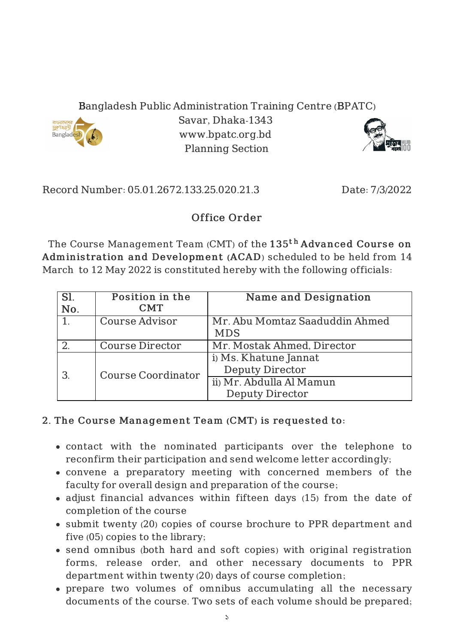## Bangladesh Public Administration Training Centre (BPATC)



Savar, Dhaka-1343 www.bpatc.org.bd Planning Section



Record Number: 05.01.2672.133.25.020.21.3 Date: 7/3/2022

## Office Order

The Course Management Team (CMT) of the  $135^{\rm th}$  <code>Advanced Course on</code> Administration and Development (ACAD) scheduled to be held from 14 March to 12 May 2022 is constituted hereby with the following officials:

| Sl.<br>No. | Position in the<br><b>CMT</b> | Name and Designation                                                                                  |
|------------|-------------------------------|-------------------------------------------------------------------------------------------------------|
|            | <b>Course Advisor</b>         | Mr. Abu Momtaz Saaduddin Ahmed<br><b>MDS</b>                                                          |
|            | <b>Course Director</b>        | Mr. Mostak Ahmed, Director                                                                            |
|            | <b>Course Coordinator</b>     | i) Ms. Khatune Jannat<br><b>Deputy Director</b><br>ii) Mr. Abdulla Al Mamun<br><b>Deputy Director</b> |

## 2. The Course Management Team (CMT) is requested to:

- contact with the nominated participants over the telephone to reconfirm their participation and send welcome letter accordingly;
- convene a preparatory meeting with concerned members of the faculty for overall design and preparation of the course;
- adjust financial advances within fifteen days (15) from the date of completion of the course
- submit twenty (20) copies of course brochure to PPR department and five (05) copies to the library;
- send omnibus (both hard and soft copies) with original registration forms, release order, and other necessary documents to PPR department within twenty (20) days of course completion;
- prepare two volumes of omnibus accumulating all the necessary documents of the course. Two sets of each volume should be prepared;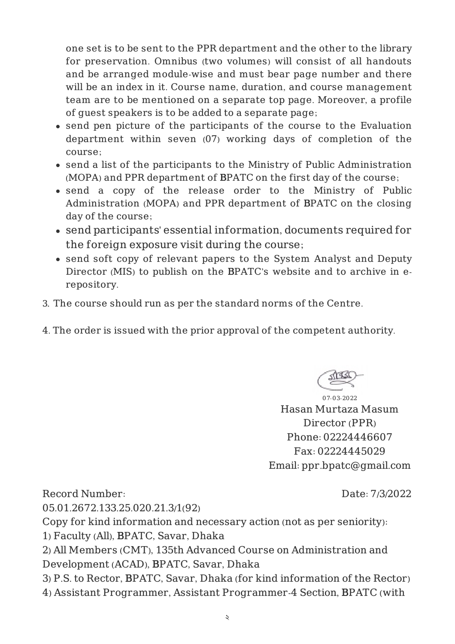one set is to be sent to the PPR department and the other to the library for preservation. Omnibus (two volumes) will consist of all handouts and be arranged module-wise and must bear page number and there will be an index in it. Course name, duration, and course management team are to be mentioned on a separate top page. Moreover, a profile of guest speakers is to be added to a separate page;

- send pen picture of the participants of the course to the Evaluation department within seven (07) working days of completion of the course;
- send a list of the participants to the Ministry of Public Administration (MOPA) and PPR department of BPATC on the first day of the course;
- send a copy of the release order to the Ministry of Public Administration (MOPA) and PPR department of BPATC on the closing day of the course;
- send participants' essential information, documents required for the foreign exposure visit during the course;
- send soft copy of relevant papers to the System Analyst and Deputy Director (MIS) to publish on the BPATC's website and to archive in erepository.
- 3. The course should run as per the standard norms of the Centre.
- 4. The order is issued with the prior approval of the competent authority.

07-03-2022 Hasan Murtaza Masum Director (PPR) Phone: 02224446607 Fax: 02224445029 Email: ppr.bpatc@gmail.com

Record Number:

Date: 7/3/2022

05.01.2672.133.25.020.21.3/1(92)

Copy for kind information and necessary action (not as per seniority):

1) Faculty (All), BPATC, Savar, Dhaka

2) All Members (CMT), 135th Advanced Course on Administration and Development (ACAD), BPATC, Savar, Dhaka

3) P.S. to Rector, BPATC, Savar, Dhaka (for kind information of the Rector) 4) Assistant Programmer, Assistant Programmer-4 Section, BPATC (with